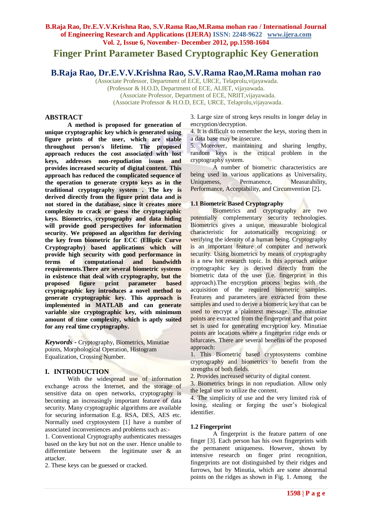# **Finger Print Parameter Based Cryptographic Key Generation**

## **B.Raja Rao, Dr.E.V.V.Krishna Rao, S.V.Rama Rao,M.Rama mohan rao**

(Associate Professor, Department of ECE, URCE, Telaprolu,vijayawada. (Professor & H.O.D, Department of ECE, ALIET, vijayawada. (Associate Professor, Department of ECE, NRIIT,vijayawada. (Associate Professor & H.O.D, ECE, URCE, Telaprolu,vijayawada.

## **ABSTRACT**

**A method is proposed for generation of unique cryptographic key which is generated using figure prints of the user, which are stable throughout person's lifetime. The proposed approach reduces the cost associated with lost keys, addresses non-repudiation issues and provides increased security of digital content. This approach has reduced the complicated sequence of the operation to generate crypto keys as in the traditional cryptography system . The key is derived directly from the figure print data and is not stored in the database, since it creates more complexity to crack or guess the cryptographic keys. Biometrics, cryptography and data hiding will provide good perspectives for information security. We proposed an algorithm for deriving the key from biometric for ECC (Elliptic Curve Cryptography) based applications which will provide high security with good performance in terms of computational and bandwidth requirements.There are several biometric systems in existence that deal with cryptography, but the proposed figure print parameter based cryptographic key introduces a novel method to generate cryptographic key. This approach is implemented in MATLAB and can generate variable size cryptographic key, with minimum amount of time complexity, which is aptly suited for any real time cryptography***.*

*Keywords* **-** Cryptography, Biometrics, Minutiae points, Morphological Operation, Histogram Equalization, Crossing Number.

#### **I. INTRODUCTION**

With the widespread use of information exchange across the Internet, and the storage of sensitive data on open networks, cryptography is becoming an increasingly important feature of data security. Many cryptographic algorithms are available for securing information E.g. RSA, DES, AES etc. Normally used cryptosystem [1] have a number of associated inconveniences and problems such as:-

1. Conventional Cryptography authenticates messages based on the key but not on the user. Hence unable to differentiate between the legitimate user & an attacker.

2. These keys can be guessed or cracked.

3. Large size of strong keys results in longer delay in encryption/decryption.

4. It is difficult to remember the keys, storing them in a data base may be insecure.

5. Moreover, maintaining and sharing lengthy, random keys is the critical problem in the cryptography system.

A number of biometric characteristics are being used in various applications as Universality, Uniqueness, Permanence, Measurability, Performance, Acceptability, and Circumvention [2]**.**

## **1.1 Biometric Based Cryptography**

Biometrics and cryptography are two potentially complementary security technologies. Biometrics gives a unique, measurable biological characteristic for automatically recognizing or verifying the identity of a human being. Cryptography is an important feature of computer and network security. Using biometrics by means of cryptography is a new hot research topic. In this approach unique cryptographic key is derived directly from the biometric data of the user (i.e. fingerprint in this approach).The encryption process begins with the acquisition of the required biometric samples. Features and parameters are extracted from these samples and used to derive a biometric key that can be used to encrypt a plaintext message. The minutiae points are extracted from the fingerprint and that point set is used for generating encryption key. Minutiae points are locations where a fingerprint ridge ends or bifurcates. There are several benefits of the proposed approach:

1. This Biometric based cryptosystems combine cryptography and biometrics to benefit from the strengths of both fields.

2. Provides increased security of digital content.

3. Biometrics brings in non repudiation. Allow only the legal user to utilize the content.

4. The simplicity of use and the very limited risk of losing, stealing or forging the user's biological identifier.

#### **1.2 Fingerprint**

A fingerprint is the feature pattern of one finger [3]. Each person has his own fingerprints with the permanent uniqueness. However, shown by intensive research on finger print recognition, fingerprints are not distinguished by their ridges and furrows, but by Minutia, which are some abnormal points on the ridges as shown in Fig. 1. Among the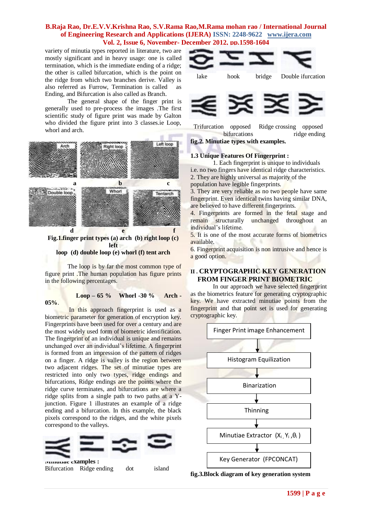variety of minutia types reported in literature, two are mostly significant and in heavy usage: one is called termination, which is the immediate ending of a ridge; the other is called bifurcation, which is the point on the ridge from which two branches derive. Valley is also referred as Furrow, Termination is called as Ending, and Bifurcation is also called as Branch.

The general shape of the finger print is generally used to pre-process the images .The first scientific study of figure print was made by Galton who divided the figure print into 3 classes.ie Loop, whorl and arch.



**Fig.1.finger print types (a) arch (b) right loop (c) left loop (d) double loop (e) whorl (f) tent arch**

The loop is by far the most common type of figure print .The human population has figure prints in the following percentages.

#### **05%**.

## **Loop – 65 % Whorl -30 % Arch -**

In this approach fingerprint is used as a biometric parameter for generation of encryption key. Fingerprints have been used for over a century and are the most widely used form of biometric identification. The fingerprint of an individual is unique and remains unchanged over an individual's lifetime. A fingerprint is formed from an impression of the pattern of ridges on a finger. A ridge is valley is the region between two adjacent ridges. The set of minutiae types are restricted into only two types, ridge endings and bifurcations, Ridge endings are the points where the ridge curve terminates, and bifurcations are where a ridge splits from a single path to two paths at a Yjunction. Figure 1 illustrates an example of a ridge ending and a bifurcation. In this example, the black pixels correspond to the ridges, and the white pixels correspond to the valleys.



**Minutiae examples :** Bifurcation Ridge ending dot island





 Trifurcation opposed Ridge crossing opposed bifurcations ridge ending

**fig.2. Minutiae types with examples.** 

## **1.3 Unique Features Of Fingerprint :**

1. Each fingerprint is unique to individuals i.e. no two fingers have identical ridge characteristics.

2. They are highly universal as majority of the

population have legible fingerprints.

3. They are very reliable as no two people have same fingerprint. Even identical twins having similar DNA, are believed to have different fingerprints.

4. Fingerprints are formed in the fetal stage and remain structurally unchanged throughout an individual's lifetime.

5. It is one of the most accurate forms of biometrics available.

6. Fingerprint acquisition is non intrusive and hence is a good option.

## **II. CRYPTOGRAPHIC KEY GENERATION FROM FINGER PRINT BIOMETRIC**

In our approach we have selected fingerprint as the biometrics feature for generating cryptographic key. We have extracted minutiae points from the fingerprint and that point set is used for generating cryptographic key.



**fig.3.Block diagram of key generation system**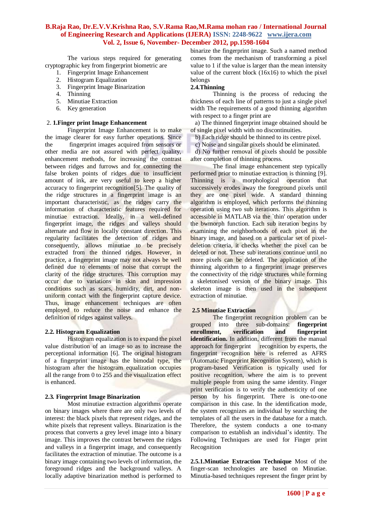The various steps required for generating cryptographic key from fingerprint biometric are

- 1. Fingerprint Image Enhancement
- 2. Histogram Equalization
- 3. Fingerprint Image Binarization
- 4. Thinning
- 5. Minutiae Extraction
- 6. Key generation

#### 2. **1.Finger print Image Enhancement**

Fingerprint Image Enhancement is to make the image clearer for easy further operations. Since the fingerprint images acquired from sensors or other media are not assured with perfect quality, enhancement methods, for increasing the contrast between ridges and furrows and for connecting the false broken points of ridges due to insufficient amount of ink, are very useful to keep a higher accuracy to fingerprint recognition[5]. The quality of the ridge structures in a fingerprint image is an important characteristic, as the ridges carry the information of characteristic features required for minutiae extraction. Ideally, in a well-defined fingerprint image, the ridges and valleys should alternate and flow in locally constant direction. This regularity facilitates the detection of ridges and consequently, allows minutiae to be precisely extracted from the thinned ridges. However, in practice, a fingerprint image may not always be well defined due to elements of noise that corrupt the clarity of the ridge structures. This corruption may occur due to variations in skin and impression conditions such as scars, humidity, dirt, and nonuniform contact with the fingerprint capture device. Thus, image enhancement techniques are often employed to reduce the noise and enhance the definition of ridges against valleys.

#### **2.2. Histogram Equalization**

Histogram equalization is to expand the pixel value distribution of an image so as to increase the perceptional information [6]. The original histogram of a fingerprint image has the bimodal type, the histogram after the histogram equalization occupies all the range from 0 to 255 and the visualization effect is enhanced.

#### **2.3***.* **Fingerprint Image Binarization**

Most minutiae extraction algorithms operate on binary images where there are only two levels of interest: the black pixels that represent ridges, and the white pixels that represent valleys. Binarization is the process that converts a grey level image into a binary image. This improves the contrast between the ridges and valleys in a fingerprint image, and consequently facilitates the extraction of minutiae. The outcome is a binary image containing two levels of information, the foreground ridges and the background valleys. A locally adaptive binarization method is performed to

binarize the fingerprint image. Such a named method comes from the mechanism of transforming a pixel value to 1 if the value is larger than the mean intensity value of the current block (16x16) to which the pixel belongs

## **2.4.Thinning**

Thinning is the process of reducing the thickness of each line of patterns to just a single pixel width The requirements of a good thinning algorithm with respect to a finger print are

 a) The thinned fingerprint image obtained should be of single pixel width with no discontinuities.

- b) Each ridge should be thinned to its centre pixel.
- c) Noise and singular pixels should be eliminated.

 d) No further removal of pixels should be possible after completion of thinning process.

The final image enhancement step typically performed prior to minutiae extraction is thinning [9]. Thinning is a morphological operation that successively erodes away the foreground pixels until they are one pixel wide. A standard thinning algorithm is employed, which performs the thinning operation using two sub iterations. This algorithm is accessible in MATLAB via the `thin' operation under the bwmorph function. Each sub iteration begins by examining the neighborhoods of each pixel in the binary image, and based on a particular set of pixeldeletion criteria, it checks whether the pixel can be deleted or not. These sub iterations continue until no more pixels can be deleted. The application of the thinning algorithm to a fingerprint image preserves the connectivity of the ridge structures while forming a skeletonised version of the binary image. This skeleton image is then used in the subsequent extraction of minutiae.

## **2.5 Minutiae Extraction**

The fingerprint recognition problem can be grouped into three sub-domains: **fingerprint enrollment, verification and fingerprint**  identification. In addition, different from the manual approach for fingerprint recognition by experts, the fingerprint recognition here is referred as AFRS (Automatic Fingerprint Recognition System), which is program-based Verification is typically used for positive recognition, where the aim is to prevent multiple people from using the same identity. Finger print verification is to verify the authenticity of one person by his fingerprint. There is one-to-one comparison in this case. In the identification mode, the system recognizes an individual by searching the templates of all the users in the database for a match. Therefore, the system conducts a one to-many comparison to establish an individual's identity. The Following Techniques are used for Finger print Recognition

**2.5.1.Minutiae Extraction Technique** Most of the finger-scan technologies are based on Minutiae. Minutia-based techniques represent the finger print by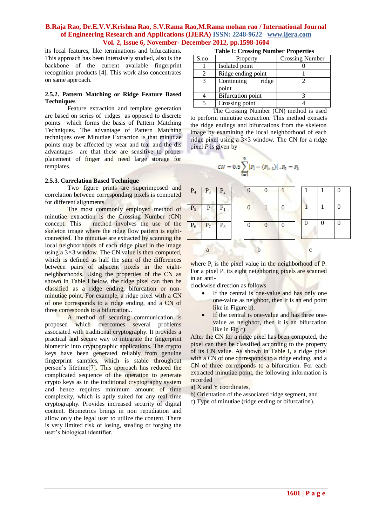its local features, like terminations and bifurcations. This approach has been intensively studied, also is the backbone of the current available fingerprint recognition products [4]. This work also concentrates on same approach.

#### **2.5.2. Pattern Matching or Ridge Feature Based Techniques**

Feature extraction and template generation are based on series of ridges as opposed to discrete points which forms the basis of Pattern Matching Techniques. The advantage of Pattern Matching techniques over Minutiae Extraction is that minutiae points may be affected by wear and tear and the dis advantages are that these are sensitive to proper placement of finger and need large storage for templates.

## **2.5.3. Correlation Based Technique**

Two figure prints are superimposed and correlation between corresponding pixels is computed for different alignments.

The most commonly employed method of minutiae extraction is the Crossing Number (CN) concept. This method involves the use of the skeleton image where the ridge flow pattern is eightconnected. The minutiae are extracted by scanning the local neighborhoods of each ridge pixel in the image using a 3*×*3 window. The CN value is then computed, which is defined as half the sum of the differences between pairs of adjacent pixels in the eightneighborhoods. Using the properties of the CN as shown in Table I below, the ridge pixel can then be classified as a ridge ending, bifurcation or nonminutiae point. For example, a ridge pixel with a CN of one corresponds to a ridge ending, and a CN of three corresponds to a bifurcation..

A method of securing communication is proposed which overcomes several problems associated with traditional cryptography. It provides a practical and secure way to integrate the fingerprint biometric into cryptographic applications. The crypto keys have been generated reliably from genuine fingerprint samples, which is stable throughout person's lifetime[7]. This approach has reduced the complicated sequence of the operation to generate crypto keys as in the traditional cryptography system and hence requires minimum amount of time complexity, which is aptly suited for any real time cryptography. Provides increased security of digital content. Biometrics brings in non repudiation and allow only the legal user to utilize the content. There is very limited risk of losing, stealing or forging the user's biological identifier.

| Table 1: Crossing Number Properties |                              |                        |  |  |  |  |
|-------------------------------------|------------------------------|------------------------|--|--|--|--|
| S.no                                | Property                     | <b>Crossing Number</b> |  |  |  |  |
|                                     | Isolated point               |                        |  |  |  |  |
|                                     | Ridge ending point           |                        |  |  |  |  |
| 3                                   | Continuing<br>ridge<br>point |                        |  |  |  |  |
|                                     |                              |                        |  |  |  |  |
|                                     | Bifurcation point            |                        |  |  |  |  |
|                                     | Crossing point               |                        |  |  |  |  |

**Table I: Crossing Number Properties**

The Crossing Number (CN) method is used to perform minutiae extraction. This method extracts the ridge endings and bifurcations from the skeleton image by examining the local neighborhood of each ridge pixel using a 3×3 window. The CN for a ridge pixel *P* is given by

$$
CN = 0.5 \sum_{i=1}^{9} |P_i - (P_{i+1})|, P_9 = P_1
$$

| $P_4$ | $\overline{P_3}$ | $P_2$ |  |   |  |   |  |
|-------|------------------|-------|--|---|--|---|--|
| $P_5$ | $\mathbf{P}$     | P,    |  |   |  |   |  |
| $P_6$ | $P_7$            | $P_8$ |  | 0 |  |   |  |
|       | a                |       |  |   |  | с |  |

where  $P_i$  is the pixel value in the neighborhood of P. For a pixel P, its eight neighboring pixels are scanned in an anti-

clockwise direction as follows

- If the central is one-value and has only one one-value as neighbor, then it is an end point like in Figure b).
- If the central is one-value and has three onevalue as neighbor, then it is an bifurcation like in Fig c).

After the CN for a ridge pixel has been computed, the pixel can then be classified according to the property of its CN value. As shown in Table I, a ridge pixel with a CN of one corresponds to a ridge ending, and a CN of three corresponds to a bifurcation. For each extracted minutiae point, the following information is recorded

- a) X and Y coordinates,
- b) Orientation of the associated ridge segment, and
- c) Type of minutiae (ridge ending or bifurcation).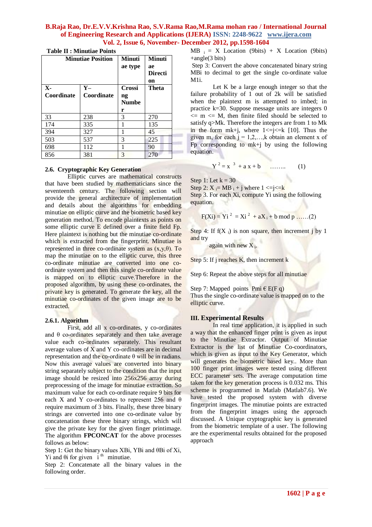|  |  | <b>Table II : Minutiae Points</b> |  |
|--|--|-----------------------------------|--|
|--|--|-----------------------------------|--|

|              | <b>Minutiae Position</b> | <b>Minuti</b><br>ae type | <b>Minuti</b><br>ae<br><b>Directi</b><br>on |  |
|--------------|--------------------------|--------------------------|---------------------------------------------|--|
| $\mathbf{X}$ | $Y -$                    | <b>Crossi</b>            | <b>Theta</b>                                |  |
| Coordinate   | Coordinate               | ng                       |                                             |  |
|              |                          | <b>Numbe</b>             |                                             |  |
|              |                          | r                        |                                             |  |
| 33           | 238                      | 3                        | 270                                         |  |
| 174          | 335                      | 1                        | 135                                         |  |
| 394          | 327                      | 1                        | 45                                          |  |
| 503          | 537                      | 3                        | 225                                         |  |
| 698          | 112                      | 1                        | 90                                          |  |
| 856          | 381                      | 3                        | 270                                         |  |

## **2.6. Cryptographic Key Generation**

Elliptic curves are mathematical constructs that have been studied by mathematicians since the seventeenth century. The following section will provide the general architecture of implementation and details about the algorithms for embedding minutiae on elliptic curve and the biometric based key generation method. To encode plaintexts as points on some elliptic curve E defined over a finite field Fp. Here plaintext is nothing but the minutiae co-ordinate which is extracted from the fingerprint. Minutiae is represented in three co-ordinate system as  $(x,y,\theta)$ . To map the minutiae on to the elliptic curve, this three co-ordinate minutiae are converted into one coordinate system and then this single co-ordinate value is mapped on to elliptic curve.Therefore in the proposed algorithm, by using these co-ordinates, the private key is generated. To generate the key, all the minutiae co-ordinates of the given image are to be extracted.

#### **2.6.1. Algorithm**

First, add all x co-ordinates, y co-ordinates and  $\theta$  co-ordinates separately and then take average value each co-ordinates separately. This resultant average values of X and Y co-ordinates are in decimal representation and the co-ordinate θ will be in radians. Now this average values are converted into binary string separately subject to the condition that the input image should be resized into 256x256 array during preprocessing of the image for minutiae extraction. So maximum value for each co-ordinate require 9 bits for each X and Y co-ordinates to represent 256 and  $\theta$ require maximum of 3 bits. Finally, these three binary strings are converted into one co-ordinate value by concatenation these three binary strings, which will give the private key for the given finger printimage. The algorithm **FPCONCAT** for the above processes follows as below:

Step 1: Get the binary values XBi, YBi and θBi of Xi,  $Y$ i and  $θ$ i for given i<sup>th</sup> minutiae.

Step 2: Concatenate all the binary values in the following order.

 $MB_i = X$  Location (9bits) + X Location (9bits) +angle(3 bits)

Step 3: Convert the above concatenated binary string MBi to decimal to get the single co-ordinate value M1i.

Let K be a large enough integer so that the failure probability of 1 out of 2k will be satisfied when the plaintext m is attempted to imbed; in practice k=30. Suppose message units are integers 0  $\leq$  m  $\leq$  M, then finite filed should be selected to satisfy q>Mk. Therefore the integers are from 1 to Mk in the form  $mk+j$ , where  $1 \le j \le k$  [10]. Thus the given m, for each  $j = 1,2,...,k$  obtain an element x of Fp corresponding to  $mk+j$  by using the following equation.

$$
Y^2 = x^3 + a x + b
$$
 (1)

Step 1: Let  $k = 30$ 

Step 2:  $X_i = MB_i + j$  where  $1 \le i \le k$ Step 3. For each Xi, compute Yi using the following equation.

$$
F(Xi) = Yi^2 = Xi^2 + aX_i + b \mod p \dots (2)
$$

Step 4: If  $f(X_i)$  is non square, then increment j by 1 and try

again with new  $X_i$ .

Step 5: If *j* reaches K, then increment k

Step 6: Repeat the above steps for all minutiae

Step 7: Mapped points Pmi  $\in$  E(F q)

Thus the single co-ordinate value is mapped on to the elliptic curve.

#### **III. Experimental Results**

In real time application, it is applied in such a way that the enhanced finger print is given as input to the Minutiae Extractor. Output of Minutiae Extractor is the list of Minutiae Co-coordinators, which is given as input to the Key Generator, which will generates the biometric based key.. More than 100 finger print images were tested using different ECC parameter sets. The average computation time taken for the key generation process is 0.032 ms. This scheme is programmed in Matlab (Matlab7.6). We have tested the proposed system with diverse fingerprint images. The minutiae points are extracted from the fingerprint images using the approach discussed. A Unique cryptographic key is generated from the biometric template of a user. The following are the experimental results obtained for the proposed approach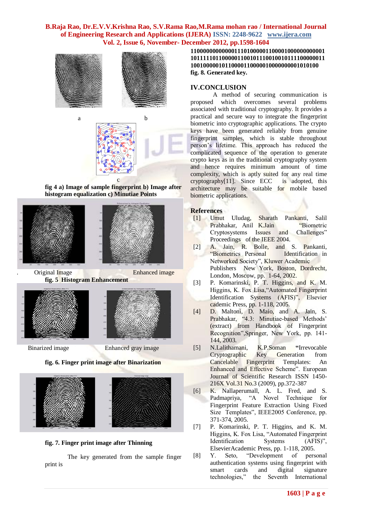

contract the contract of the contract of **fig 4 a) Image of sample fingerprint b) Image after histogram equalization c) Minutiae Points** 



**Original Image Enhanced image fig. 5 Histogram Enhancement**



Binarized image Enhanced gray image



**fig. 6. Finger print image after Binarization** 

**fig. 7. Finger print image after Thinning**

The key generated from the sample finger print is

**1100000000000011101000001100001000000000001 1011111011000001100101110010010111100000011 10010000010110000110000010000000001010100 fig. 8. Generated key.**

## **IV.CONCLUSION**

A method of securing communication is proposed which overcomes several problems associated with traditional cryptography. It provides a practical and secure way to integrate the fingerprint biometric into cryptographic applications. The crypto keys have been generated reliably from genuine fingerprint samples, which is stable throughout person's lifetime. This approach has reduced the complicated sequence of the operation to generate crypto keys as in the traditional cryptography system and hence requires minimum amount of time complexity, which is aptly suited for any real time<br>cryptography[11]. Since ECC is adopted, this  $cryptography[11]$ . Since ECC architecture may be suitable for mobile based biometric applications.

## **References**

- [1] Umut Uludag, Sharath Pankanti, Salil Prabhakar, Anil K.Jain "Biometric Cryptosystems Issues and Challenges" Proceedings of the IEEE 2004.
- [2] A. Jain, R. Bolle, and S. Pankanti, "Biometrics Personal Identification in Networked Society", Kluwer Academic Publishers New York, Boston, Dordrecht, London, Moscow, pp. 1-64, 2002.
- [3] P. Komarinski, P. T. Higgins, and K. M. Higgins, K. Fox Lisa,"Automated Fingerprint Identification Systems (AFIS)", Elsevier cademic Press, pp. 1-118, 2005.
- [4] D. Maltoni, D. Maio, and A. Jain, S. Prabhakar, "4.3: Minutiae-based Methods' (extract) from Handbook of Fingerprint Recognition",Springer, New York, pp. 141- 144, 2003.
- [5] N.Lalithamani, K.P.Soman **"**Irrevocable Cryptographic Key Generation from<br>Cancelable Fingerprint Templates: An Cancelable Fingerprint Templates: An Enhanced and Effective Scheme". European Journal of Scientific Research ISSN 1450- 216X Vol.31 No.3 (2009), pp.372-387
- [6] K. Nallaperumall, A. L. Fred, and S. Padmapriya, "A Novel Technique for Fingerprint Feature Extraction Using Fixed Size Templates", IEEE2005 Conference, pp. 371-374, 2005.
- [7] P. Komarinski, P. T. Higgins, and K. M. Higgins, K. Fox Lisa, "Automated Fingerprint Identification Systems (AFIS)", ElsevierAcademic Press, pp. 1-118, 2005.
- [8] Y. Seto, "Development of personal authentication systems using fingerprint with smart cards and digital signature technologies," the Seventh International